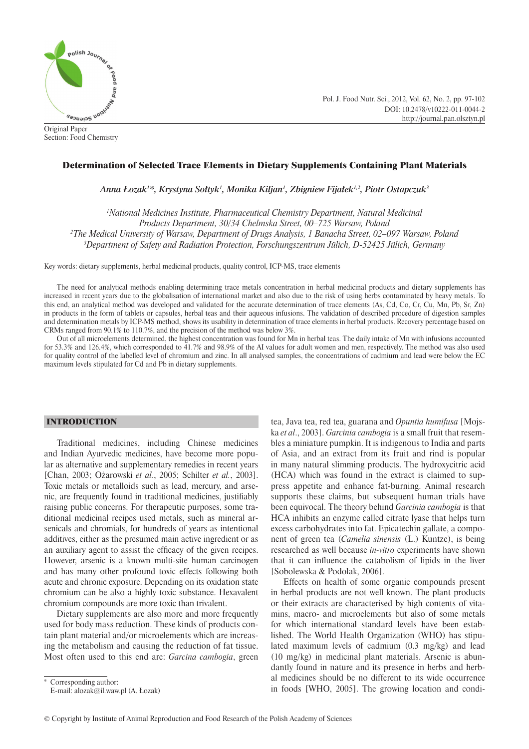

Original Paper Section: Food Chemistry Pol. J. Food Nutr. Sci., 2012, Vol. 62, No. 2, pp. 97-102 DOI: 10.2478/v10222-011-0044-2 http://journal.pan.olsztyn.pl

# Determination of Selected Trace Elements in Dietary Supplements Containing Plant Materials

*Anna Łozak1 \*, Krystyna Sołtyk1 , Monika Kiljan1 , Zbigniew Fijałek1,2, Piotr Ostapczuk3*

<sup>1</sup> National Medicines Institute, Pharmaceutical Chemistry Department, Natural Medicinal *Products Department, 30/34 Chelmska Street, 00–725 Warsaw, Poland 2 The Medical University of Warsaw, Department of Drugs Analysis, 1 Banacha Street, 02–097 Warsaw, Poland 3 Department of Safety and Radiation Protection, Forschungszentrum Jülich, D-52425 Jülich, Germany*

Key words: dietary supplements, herbal medicinal products, quality control, ICP-MS, trace elements

The need for analytical methods enabling determining trace metals concentration in herbal medicinal products and dietary supplements has increased in recent years due to the globalisation of international market and also due to the risk of using herbs contaminated by heavy metals. To this end, an analytical method was developed and validated for the accurate determination of trace elements (As, Cd, Co, Cr, Cu, Mn, Pb, Sr, Zn) in products in the form of tablets or capsules, herbal teas and their aqueous infusions. The validation of described procedure of digestion samples and determination metals by ICP-MS method, shows its usability in determination of trace elements in herbal products. Recovery percentage based on CRMs ranged from 90.1% to 110.7%, and the precision of the method was below 3%.

Out of all microelements determined, the highest concentration was found for Mn in herbal teas. The daily intake of Mn with infusions accounted for 53.3% and 126.4%, which corresponded to 41.7% and 98.9% of the AI values for adult women and men, respectively. The method was also used for quality control of the labelled level of chromium and zinc. In all analysed samples, the concentrations of cadmium and lead were below the EC maximum levels stipulated for Cd and Pb in dietary supplements.

## INTRODUCTION

Traditional medicines, including Chinese medicines and Indian Ayurvedic medicines, have become more popular as alternative and supplementary remedies in recent years [Chan, 2003; Ożarowski *et al.*, 2005; Schilter *et al.*, 2003]. Toxic metals or metalloids such as lead, mercury, and arsenic, are frequently found in traditional medicines, justifiably raising public concerns. For therapeutic purposes, some traditional medicinal recipes used metals, such as mineral arsenicals and chromials, for hundreds of years as intentional additives, either as the presumed main active ingredient or as an auxiliary agent to assist the efficacy of the given recipes. However, arsenic is a known multi-site human carcinogen and has many other profound toxic effects following both acute and chronic exposure. Depending on its oxidation state chromium can be also a highly toxic substance. Hexavalent chromium compounds are more toxic than trivalent.

Dietary supplements are also more and more frequently used for body mass reduction. These kinds of products contain plant material and/or microelements which are increasing the metabolism and causing the reduction of fat tissue. Most often used to this end are: *Garcina cambogia*, green

Corresponding author: E-mail: alozak@il.waw.pl (A. Łozak) tea, Java tea, red tea, guarana and *Opuntia humifusa* [Mojska *et al*., 2003]. *Garcinia cambogia* is a small fruit that resembles a miniature pumpkin. It is indigenous to India and parts of Asia, and an extract from its fruit and rind is popular in many natural slimming products. The hydroxycitric acid (HCA) which was found in the extract is claimed to suppress appetite and enhance fat-burning. Animal research supports these claims, but subsequent human trials have been equivocal. The theory behind *Garcinia cambogia* is that HCA inhibits an enzyme called citrate lyase that helps turn excess carbohydrates into fat. Epicatechin gallate, a component of green tea (*Camelia sinensis* (L.) Kuntze), is being researched as well because *in-vitro* experiments have shown that it can influence the catabolism of lipids in the liver [Sobolewska & Podolak, 2006].

Effects on health of some organic compounds present in herbal products are not well known. The plant products or their extracts are characterised by high contents of vitamins, macro- and microelements but also of some metals for which international standard levels have been established. The World Health Organization (WHO) has stipulated maximum levels of cadmium (0.3 mg/kg) and lead (10 mg/kg) in medicinal plant materials. Arsenic is abundantly found in nature and its presence in herbs and herbal medicines should be no different to its wide occurrence in foods [WHO, 2005]. The growing location and condi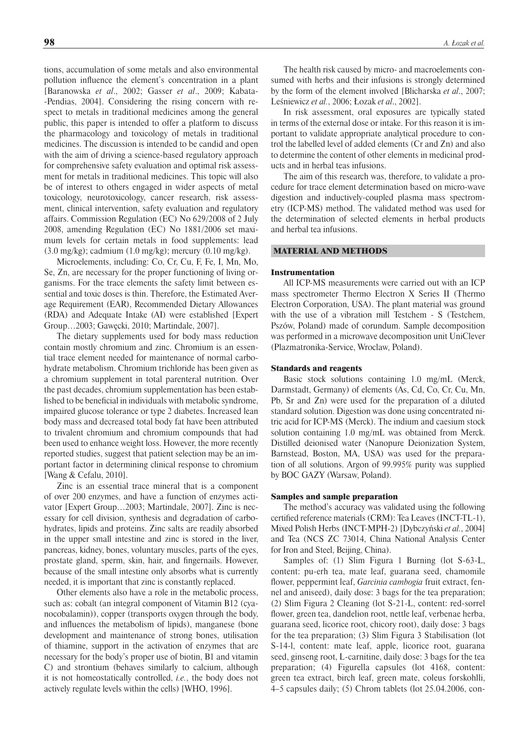tions, accumulation of some metals and also environmental pollution influence the element's concentration in a plant [Baranowska *et al*., 2002; Gasser *et al*., 2009; Kabata- -Pendias, 2004]. Considering the rising concern with respect to metals in traditional medicines among the general public, this paper is intended to offer a platform to discuss the pharmacology and toxicology of metals in traditional medicines. The discussion is intended to be candid and open with the aim of driving a science-based regulatory approach for comprehensive safety evaluation and optimal risk assessment for metals in traditional medicines. This topic will also be of interest to others engaged in wider aspects of metal toxicology, neurotoxicology, cancer research, risk assessment, clinical intervention, safety evaluation and regulatory affairs. Commission Regulation (EC) No 629/2008 of 2 July 2008, amending Regulation (EC) No 1881/2006 set maximum levels for certain metals in food supplements: lead (3.0 mg/kg); cadmium (1.0 mg/kg); mercury (0.10 mg/kg).

Microelements, including: Co, Cr, Cu, F, Fe, I, Mn, Mo, Se, Zn, are necessary for the proper functioning of living organisms. For the trace elements the safety limit between essential and toxic doses is thin. Therefore, the Estimated Average Requirement (EAR), Recommended Dietary Allowances (RDA) and Adequate Intake (AI) were established [Expert Group…2003; Gawęcki, 2010; Martindale, 2007].

The dietary supplements used for body mass reduction contain mostly chromium and zinc. Chromium is an essential trace element needed for maintenance of normal carbohydrate metabolism. Chromium trichloride has been given as a chromium supplement in total parenteral nutrition. Over the past decades, chromium supplementation has been established to be beneficial in individuals with metabolic syndrome, impaired glucose tolerance or type 2 diabetes. Increased lean body mass and decreased total body fat have been attributed to trivalent chromium and chromium compounds that had been used to enhance weight loss. However, the more recently reported studies, suggest that patient selection may be an important factor in determining clinical response to chromium [Wang & Cefalu, 2010].

Zinc is an essential trace mineral that is a component of over 200 enzymes, and have a function of enzymes activator [Expert Group…2003; Martindale, 2007]. Zinc is necessary for cell division, synthesis and degradation of carbohydrates, lipids and proteins. Zinc salts are readily absorbed in the upper small intestine and zinc is stored in the liver, pancreas, kidney, bones, voluntary muscles, parts of the eyes, prostate gland, sperm, skin, hair, and fingernails. However, because of the small intestine only absorbs what is currently needed, it is important that zinc is constantly replaced.

Other elements also have a role in the metabolic process, such as: cobalt (an integral component of Vitamin B12 (cyanocobalamin)), copper (transports oxygen through the body, and influences the metabolism of lipids), manganese (bone development and maintenance of strong bones, utilisation of thiamine, support in the activation of enzymes that are necessary for the body's proper use of biotin, B1 and vitamin C) and strontium (behaves similarly to calcium, although it is not homeostatically controlled, *i.e.*, the body does not actively regulate levels within the cells) [WHO, 1996].

The health risk caused by micro- and macroelements consumed with herbs and their infusions is strongly determined by the form of the element involved [Blicharska *et al*., 2007; Leśniewicz *et al.*, 2006; Łozak *et al*., 2002].

In risk assessment, oral exposures are typically stated in terms of the external dose or intake. For this reason it is important to validate appropriate analytical procedure to control the labelled level of added elements (Cr and Zn) and also to determine the content of other elements in medicinal products and in herbal teas infusions.

The aim of this research was, therefore, to validate a procedure for trace element determination based on micro-wave digestion and inductively-coupled plasma mass spectrometry (ICP-MS) method. The validated method was used for the determination of selected elements in herbal products and herbal tea infusions.

### **MATERIAL AND METHODS**

#### **Instrumentation**

All ICP-MS measurements were carried out with an ICP mass spectrometer Thermo Electron X Series II (Thermo Electron Corporation, USA). The plant material was ground with the use of a vibration mill Testchem - S (Testchem, Pszów, Poland) made of corundum. Sample decomposition was performed in a microwave decomposition unit UniClever (Plazmatronika-Service, Wroclaw, Poland).

#### **Standards and reagents**

Basic stock solutions containing 1.0 mg/mL (Merck, Darmstadt, Germany) of elements (As, Cd, Co, Cr, Cu, Mn, Pb, Sr and Zn) were used for the preparation of a diluted standard solution. Digestion was done using concentrated nitric acid for ICP-MS (Merck). The indium and caesium stock solution containing 1.0 mg/mL was obtained from Merck. Distilled deionised water (Nanopure Deionization System, Barnstead, Boston, MA, USA) was used for the preparation of all solutions. Argon of 99.995% purity was supplied by BOC GAZY (Warsaw, Poland).

### Samples and sample preparation

The method's accuracy was validated using the following certified reference materials (CRM): Tea Leaves (INCT-TL-1), Mixed Polish Herbs (INCT-MPH-2) [Dybczyński *et al.*, 2004] and Tea (NCS ZC 73014, China National Analysis Center for Iron and Steel, Beijing, China).

Samples of: (1) Slim Figura 1 Burning (lot S-63-L, content: pu-erh tea, mate leaf, guarana seed, chamomile flower, peppermint leaf, *Garcinia cambogia* fruit extract, fennel and aniseed), daily dose: 3 bags for the tea preparation; (2) Slim Figura 2 Cleaning (lot S-21-L, content: red-sorrel flower, green tea, dandelion root, nettle leaf, verbenae herba, guarana seed, licorice root, chicory root), daily dose: 3 bags for the tea preparation; (3) Slim Figura 3 Stabilisation (lot S-14-l, content: mate leaf, apple, licorice root, guarana seed, ginseng root, L-carnitine, daily dose: 3 bags for the tea preparation; (4) Figurella capsules (lot 4168, content: green tea extract, birch leaf, green mate, coleus forskohlli, 4–5 capsules daily; (5) Chrom tablets (lot 25.04.2006, con-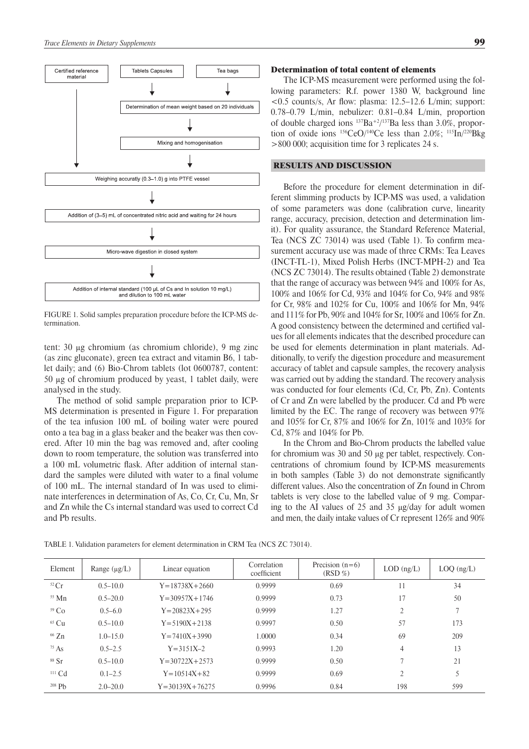

FIGURE 1. Solid samples preparation procedure before the ICP-MS determination.

tent: 30 µg chromium (as chromium chloride), 9 mg zinc (as zinc gluconate), green tea extract and vitamin B6, 1 tablet daily; and (6) Bio-Chrom tablets (lot 0600787, content: 50 µg of chromium produced by yeast, 1 tablet daily, were analysed in the study.

The method of solid sample preparation prior to ICP-MS determination is presented in Figure 1. For preparation of the tea infusion 100 mL of boiling water were poured onto a tea bag in a glass beaker and the beaker was then covered. After 10 min the bag was removed and, after cooling down to room temperature, the solution was transferred into a 100 mL volumetric flask. After addition of internal standard the samples were diluted with water to a final volume of 100 mL. The internal standard of In was used to eliminate interferences in determination of As, Co, Cr, Cu, Mn, Sr and Zn while the Cs internal standard was used to correct Cd and Pb results.

#### Determination of total content of elements

The ICP-MS measurement were performed using the following parameters: R.f. power 1380 W, background line  $<$  0.5 counts/s, Ar flow: plasma: 12.5–12.6 L/min; support: 0.78–0.79 L/min, nebulizer: 0.81–0.84 L/min, proportion of double charged ions  $^{137}Ba^{+2/137}Ba$  less than 3.0%, proportion of oxide ions  $^{156}CeO/^{140}Ce$  less than  $2.0\%$ ;  $^{115}In/^{220}Bkg$ >800 000; acquisition time for 3 replicates 24 s.

## RESULTS AND DISCUSSION

Before the procedure for element determination in different slimming products by ICP-MS was used, a validation of some parameters was done (calibration curve, linearity range, accuracy, precision, detection and determination limit). For quality assurance, the Standard Reference Material, Tea (NCS ZC 73014) was used (Table 1). To confirm measurement accuracy use was made of three CRMs: Tea Leaves (INCT-TL-1), Mixed Polish Herbs (INCT-MPH-2) and Tea (NCS ZC 73014). The results obtained (Table 2) demonstrate that the range of accuracy was between 94% and 100% for As, 100% and 106% for Cd, 93% and 104% for Co, 94% and 98% for Cr, 98% and 102% for Cu, 100% and 106% for Mn, 94% and 111% for Pb, 90% and 104% for Sr, 100% and 106% forZn. A good consistency between the determined and certified values for all elements indicates that the described procedure can be used for elements determination in plant materials. Additionally, to verify the digestion procedure and measurement accuracy of tablet and capsule samples, the recovery analysis was carried out by adding the standard. The recovery analysis was conducted for four elements (Cd, Cr, Pb, Zn). Contents of Cr and Zn were labelled by the producer. Cd and Pb were limited by the EC. The range of recovery was between 97% and 105% for Cr, 87% and 106% for Zn, 101% and 103% for Cd, 87% and 104% for Pb.

In the Chrom and Bio-Chrom products the labelled value for chromium was 30 and 50 µg per tablet, respectively. Concentrations of chromium found by ICP-MS measurements in both samples (Table 3) do not demonstrate significantly different values. Also the concentration of Zn found in Chrom tablets is very close to the labelled value of 9 mg. Comparing to the AI values of 25 and 35 μg/day for adult women and men, the daily intake values of Cr represent 126% and 90%

TABLE 1. Validation parameters for element determination in CRM Tea (NCS ZC 73014).

| Element         | Range $(\mu g/L)$ | Linear equation      | Correlation<br>coefficient | Precision $(n=6)$<br>$(RSD \%)$ | $LOD$ (ng/L)   | $LOQ$ (ng/L) |
|-----------------|-------------------|----------------------|----------------------------|---------------------------------|----------------|--------------|
| $52$ Cr         | $0.5 - 10.0$      | $Y=18738X+2660$      | 0.9999                     | 0.69                            | 11             | 34           |
| $55$ Mn         | $0.5 - 20.0$      | $Y = 30957X + 1746$  | 0.9999                     | 0.73                            | 17             | 50           |
| $59$ Co         | $0.5 - 6.0$       | $Y = 20823X + 295$   | 0.9999                     | 1.27                            | $\overline{c}$ | 7            |
| $65$ Cu         | $0.5 - 10.0$      | $Y = 5190X + 2138$   | 0.9997                     | 0.50                            | 57             | 173          |
| $66$ Zn         | $1.0 - 15.0$      | $Y = 7410X + 3990$   | 1.0000                     | 0.34                            | 69             | 209          |
| $75$ As         | $0.5 - 2.5$       | $Y = 3151X - 2$      | 0.9993                     | 1.20                            | $\overline{4}$ | 13           |
| 88 Sr           | $0.5 - 10.0$      | $Y = 30722X + 2573$  | 0.9999                     | 0.50                            | $\mathcal{I}$  | 21           |
| $111 \text{Cd}$ | $0.1 - 2.5$       | $Y = 10514X + 82$    | 0.9999                     | 0.69                            | $\overline{2}$ | 5            |
| $208$ Ph        | $2.0 - 20.0$      | $Y = 30139X + 76275$ | 0.9996                     | 0.84                            | 198            | 599          |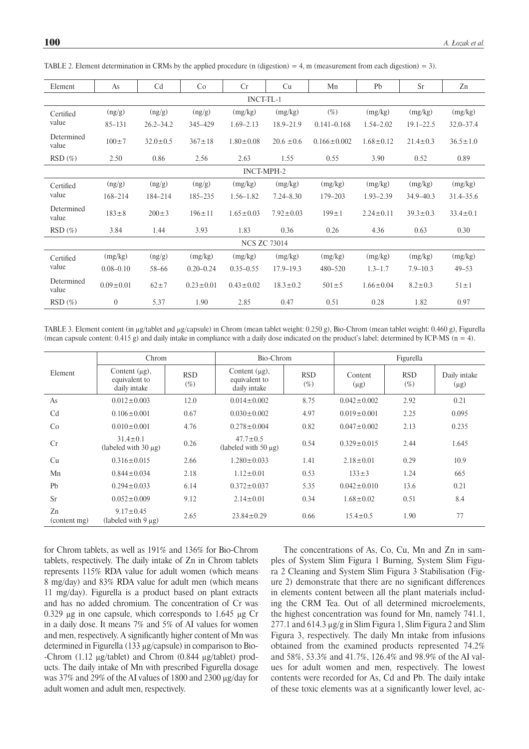| Element             | As              | C <sub>d</sub> | Co              | Cr              | Cu              | Mn                | Pb              | Sr             | Zn             |
|---------------------|-----------------|----------------|-----------------|-----------------|-----------------|-------------------|-----------------|----------------|----------------|
| <b>INCT-TL-1</b>    |                 |                |                 |                 |                 |                   |                 |                |                |
| Certified           | (ng/g)          | (ng/g)         | (ng/g)          | (mg/kg)         | (mg/kg)         | $(\%)$            | (mg/kg)         | (mg/kg)        | (mg/kg)        |
| value               | $85 - 131$      | $26.2 - 34.2$  | 345-429         | $1.69 - 2.13$   | $18.9 - 21.9$   | $0.141 - 0.168$   | $1.54 - 2.02$   | $19.1 - 22.5$  | $32.0 - 37.4$  |
| Determined<br>value | $100 \pm 7$     | $32.0 \pm 0.5$ | $367 \pm 18$    | $1.80 \pm 0.08$ | $20.6 \pm 0.6$  | $0.166 \pm 0.002$ | $1.68 \pm 0.12$ | $21.4 \pm 0.3$ | $36.5 \pm 1.0$ |
| $RSD(\%)$           | 2.50            | 0.86           | 2.56            | 2.63            | 1.55            | 0.55              | 3.90            | 0.52           | 0.89           |
| <b>INCT-MPH-2</b>   |                 |                |                 |                 |                 |                   |                 |                |                |
| Certified           | (ng/g)          | (ng/g)         | (ng/g)          | (mg/kg)         | (mg/kg)         | (mg/kg)           | (mg/kg)         | (mg/kg)        | (mg/kg)        |
| value               | 168-214         | 184-214        | 185-235         | $1.56 - 1.82$   | $7.24 - 8.30$   | $179 - 203$       | $1.93 - 2.39$   | $34.9 - 40.3$  | $31.4 - 35.6$  |
| Determined<br>value | $183 \pm 8$     | $200 \pm 3$    | $196 \pm 11$    | $1.65 \pm 0.03$ | $7.92 \pm 0.03$ | $199 \pm 1$       | $2.24 \pm 0.11$ | $39.3 \pm 0.3$ | $33.4 \pm 0.1$ |
| $RSD(\%)$           | 3.84            | 1.44           | 3.93            | 1.83            | 0.36            | 0.26              | 4.36            | 0.63           | 0.30           |
| <b>NCS ZC 73014</b> |                 |                |                 |                 |                 |                   |                 |                |                |
| Certified           | (mg/kg)         | (ng/g)         | (mg/kg)         | (mg/kg)         | (mg/kg)         | (mg/kg)           | (mg/kg)         | (mg/kg)        | (mg/kg)        |
| value               | $0.08 - 0.10$   | $58 - 66$      | $0.20 - 0.24$   | $0.35 - 0.55$   | $17.9 - 19.3$   | 480-520           | $1.3 - 1.7$     | $7.9 - 10.3$   | $49 - 53$      |
| Determined<br>value | $0.09 \pm 0.01$ | $62 + 7$       | $0.23 \pm 0.01$ | $0.43 \pm 0.02$ | $18.3 \pm 0.2$  | $501 \pm 5$       | $1.66 \pm 0.04$ | $8.2 \pm 0.3$  | $51 \pm 1$     |
| $RSD(\%)$           | $\mathbf{0}$    | 5.37           | 1.90            | 2.85            | 0.47            | 0.51              | 0.28            | 1.82           | 0.97           |

TABLE 2. Element determination in CRMs by the applied procedure (n (digestion) = 4, m (measurement from each digestion) = 3).

TABLE 3. Element content (in µg/tablet and µg/capsule) in Chrom (mean tablet weight: 0.250 g), Bio-Chrom (mean tablet weight: 0.460 g), Figurella (mean capsule content: 0.415 g) and daily intake in compliance with a daily dose indicated on the product's label; determined by ICP-MS ( $n = 4$ ).

|                    | Chrom                                                |                      | Bio-Chrom                                            |                      | Figurella            |                       |                           |
|--------------------|------------------------------------------------------|----------------------|------------------------------------------------------|----------------------|----------------------|-----------------------|---------------------------|
| Element            | Content $(\mu g)$ ,<br>equivalent to<br>daily intake | <b>RSD</b><br>$(\%)$ | Content $(\mu g)$ ,<br>equivalent to<br>daily intake | <b>RSD</b><br>$(\%)$ | Content<br>$(\mu g)$ | <b>RSD</b><br>$(\% )$ | Daily intake<br>$(\mu g)$ |
| As                 | $0.012 \pm 0.003$                                    | 12.0                 | $0.014 \pm 0.002$                                    | 8.75                 | $0.042 \pm 0.002$    | 2.92                  | 0.21                      |
| Cd                 | $0.106 \pm 0.001$                                    | 0.67                 | $0.030 \pm 0.002$                                    | 4.97                 | $0.019 \pm 0.001$    | 2.25                  | 0.095                     |
| Co                 | $0.010 \pm 0.001$                                    | 4.76                 | $0.278 \pm 0.004$                                    | 0.82                 | $0.047 \pm 0.002$    | 2.13                  | 0.235                     |
| Cr                 | $31.4 \pm 0.1$<br>(labeled with $30 \mu$ g)          | 0.26                 | $47.7 \pm 0.5$<br>(labeled with $50 \mu$ g)          | 0.54                 | $0.329 \pm 0.015$    | 2.44                  | 1.645                     |
| Cu                 | $0.316 \pm 0.015$                                    | 2.66                 | $1.280 \pm 0.033$                                    | 1.41                 | $2.18 \pm 0.01$      | 0.29                  | 10.9                      |
| Mn                 | $0.844 \pm 0.034$                                    | 2.18                 | $1.12 \pm 0.01$                                      | 0.53                 | $133 \pm 3$          | 1.24                  | 665                       |
| Pb                 | $0.294 \pm 0.033$                                    | 6.14                 | $0.372 \pm 0.037$                                    | 5.35                 | $0.042 \pm 0.010$    | 13.6                  | 0.21                      |
| Sr                 | $0.052 \pm 0.009$                                    | 9.12                 | $2.14 \pm 0.01$                                      | 0.34                 | $1.68 \pm 0.02$      | 0.51                  | 8.4                       |
| Zn<br>(content mg) | $9.17 \pm 0.45$<br>(labeled with $9 \mu$ g)          | 2.65                 | $23.84 \pm 0.29$                                     | 0.66                 | $15.4 \pm 0.5$       | 1.90                  | 77                        |

for Chrom tablets, as well as 191% and 136% for Bio-Chrom tablets, respectively. The daily intake of Zn in Chrom tablets represents 115% RDA value for adult women (which means 8 mg/day) and 83% RDA value for adult men (which means 11 mg/day). Figurella is a product based on plant extracts and has no added chromium. The concentration of Cr was 0.329 µg in one capsule, which corresponds to 1.645 µg Cr in a daily dose. It means 7% and 5% of AI values for women and men, respectively. A significantly higher content of Mn was determined in Figurella (133 µg/capsule) in comparison to Bio- -Chrom (1.12 µg/tablet) and Chrom (0.844 µg/tablet) products. The daily intake of Mn with prescribed Figurella dosage was 37% and 29% of the AI values of 1800 and 2300 µg/day for adult women and adult men, respectively.

The concentrations of As, Co, Cu, Mn and Zn in samples of System Slim Figura 1 Burning, System Slim Figura 2 Cleaning and System Slim Figura 3 Stabilisation (Figure 2) demonstrate that there are no significant differences in elements content between all the plant materials including the CRM Tea. Out of all determined microelements, the highest concentration was found for Mn, namely 741.1, 277.1 and  $614.3 \mu g/g$  in Slim Figura 1, Slim Figura 2 and Slim Figura 3, respectively. The daily Mn intake from infusions obtained from the examined products represented 74.2% and 58%, 53.3% and 41.7%, 126.4% and 98.9% of the AI values for adult women and men, respectively. The lowest contents were recorded for As, Cd and Pb. The daily intake of these toxic elements was at a significantly lower level, ac-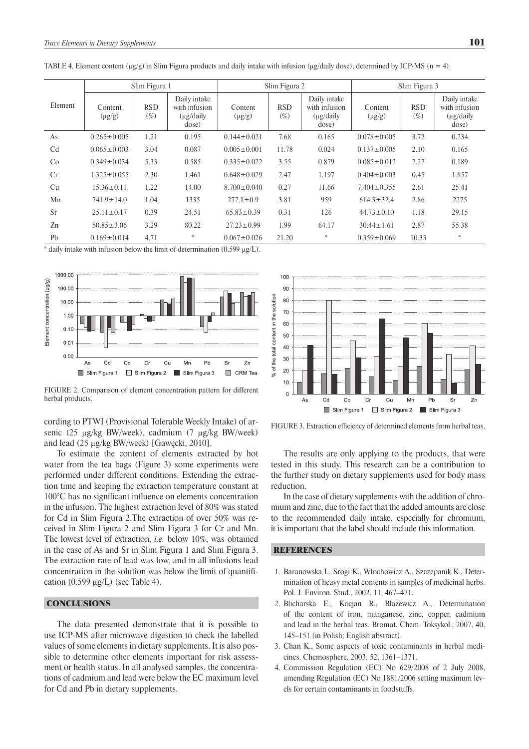|                | Slim Figura 1          |                      |                                                          | Slim Figura 2          |                      |                                                          | Slim Figura 3          |                      |                                                          |
|----------------|------------------------|----------------------|----------------------------------------------------------|------------------------|----------------------|----------------------------------------------------------|------------------------|----------------------|----------------------------------------------------------|
| Element        | Content<br>$(\mu g/g)$ | <b>RSD</b><br>$(\%)$ | Daily intake<br>with infusion<br>$(\mu$ g/daily<br>dose) | Content<br>$(\mu g/g)$ | <b>RSD</b><br>$(\%)$ | Daily intake<br>with infusion<br>$(\mu$ g/daily<br>dose) | Content<br>$(\mu g/g)$ | <b>RSD</b><br>$(\%)$ | Daily intake<br>with infusion<br>$(\mu$ g/daily<br>dose) |
| As             | $0.265 \pm 0.005$      | 1.21                 | 0.195                                                    | $0.144 \pm 0.021$      | 7.68                 | 0.165                                                    | $0.078 \pm 0.005$      | 3.72                 | 0.234                                                    |
| C <sub>d</sub> | $0.065 \pm 0.003$      | 3.04                 | 0.087                                                    | $0.005 \pm 0.001$      | 11.78                | 0.024                                                    | $0.137 \pm 0.005$      | 2.10                 | 0.165                                                    |
| Co             | $0.349 \pm 0.034$      | 5.33                 | 0.585                                                    | $0.335 \pm 0.022$      | 3.55                 | 0.879                                                    | $0.085 \pm 0.012$      | 7.27                 | 0.189                                                    |
| Cr             | $1.325 \pm 0.055$      | 2.30                 | 1.461                                                    | $0.648 \pm 0.029$      | 2.47                 | 1.197                                                    | $0.404 \pm 0.003$      | 0.45                 | 1.857                                                    |
| Cu             | $15.36 \pm 0.11$       | 1.22                 | 14.00                                                    | $8.700 \pm 0.040$      | 0.27                 | 11.66                                                    | $7.404 \pm 0.355$      | 2.61                 | 25.41                                                    |
| Mn             | $741.9 \pm 14.0$       | 1.04                 | 1335                                                     | $277.1 \pm 0.9$        | 3.81                 | 959                                                      | $614.3 \pm 32.4$       | 2.86                 | 2275                                                     |
| Sr             | $25.11 \pm 0.17$       | 0.39                 | 24.51                                                    | $65.83 \pm 0.39$       | 0.31                 | 126                                                      | $44.73 \pm 0.10$       | 1.18                 | 29.15                                                    |
| Zn             | $50.85 \pm 3.06$       | 3.29                 | 80.22                                                    | $27.23 \pm 0.99$       | 1.99                 | 64.17                                                    | $30.44 \pm 1.61$       | 2.87                 | 55.38                                                    |
| Pb             | $0.169 \pm 0.014$      | 4.71                 | $\ast$                                                   | $0.067 \pm 0.026$      | 21.20                | $\ast$                                                   | $0.359 \pm 0.069$      | 10.33                | $\ast$                                                   |

TABLE 4. Element content ( $\mu g/g$ ) in Slim Figura products and daily intake with infusion ( $\mu g/d$ aily dose); determined by ICP-MS (n = 4).

\* daily intake with infusion below the limit of determination (0.599  $\mu$ g/L).



FIGURE 2. Comparison of element concentration pattern for different herbal products.

cording to PTWI (Provisional Tolerable Weekly Intake) of arsenic (25 µg/kg BW/week), cadmium (7 µg/kg BW/week) and lead (25 µg/kg BW/week) [Gawęcki, 2010].

To estimate the content of elements extracted by hot water from the tea bags (Figure 3) some experiments were performed under different conditions. Extending the extraction time and keeping the extraction temperature constant at  $100^{\circ}$ C has no significant influence on elements concentration in the infusion. The highest extraction level of 80% was stated for Cd in Slim Figura 2.The extraction of over 50% was received in Slim Figura 2 and Slim Figura 3 for Cr and Mn. The lowest level of extraction, *i.e.* below 10%, was obtained in the case of As and Sr in Slim Figura 1 and Slim Figura 3. The extraction rate of lead was low, and in all infusions lead concentration in the solution was below the limit of quantification  $(0.599 \mu g/L)$  (see Table 4).

### **CONCLUSIONS**

The data presented demonstrate that it is possible to use ICP-MS after microwave digestion to check the labelled values of some elements in dietary supplements. It is also possible to determine other elements important for risk assessment or health status. In all analysed samples, the concentrations of cadmium and lead were below the EC maximum level for Cd and Pb in dietary supplements.



FIGURE 3. Extraction efficiency of determined elements from herbal teas.

The results are only applying to the products, that were tested in this study. This research can be a contribution to the further study on dietary supplements used for body mass reduction.

In the case of dietary supplements with the addition of chromium and zinc, due to the fact that the added amounts are close to the recommended daily intake, especially for chromium, it is important that the label should include this information.

#### **REFERENCES**

- 1. Baranowska I., Srogi K., Włochowicz A., Szczepanik K., Determination of heavy metal contents in samples of medicinal herbs. Pol. J. Environ. Stud., 2002, 11, 467–471.
- 2. Blicharska E., Kocjan R., Błażewicz A., Determination of the content of iron, manganese, zinc, copper, cadmium and lead in the herbal teas. Bromat. Chem. Toksykol., 2007, 40, 145–151 (in Polish; English abstract).
- 3. Chan K., Some aspects of toxic contaminants in herbal medicines. Chemosphere, 2003, 52, 1361–1371.
- 4. Commission Regulation (EC) No 629/2008 of 2 July 2008, amending Regulation (EC) No 1881/2006 setting maximum levels for certain contaminants in foodstuffs.